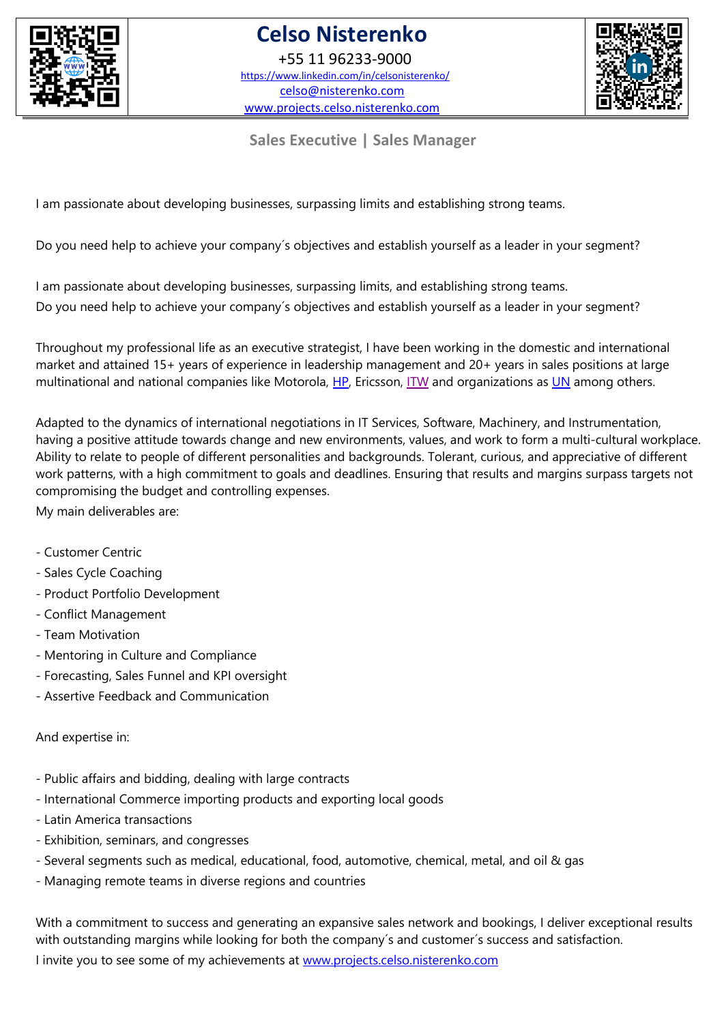

+55 11 96233-9000 https://www.linkedin.com/in/celsonisterenko/ celso@nisterenko.com www.projects.celso.nisterenko.com



**Sales Executive | Sales Manager**

I am passionate about developing businesses, surpassing limits and establishing strong teams.

Do you need help to achieve your company´s objectives and establish yourself as a leader in your segment?

I am passionate about developing businesses, surpassing limits, and establishing strong teams.

Do you need help to achieve your company´s objectives and establish yourself as a leader in your segment?

Throughout my professional life as an executive strategist, I have been working in the domestic and international market and attained 15+ years of experience in leadership management and 20+ years in sales positions at large multinational and national companies like Motorola, HP, Ericsson, ITW and organizations as UN among others.

Adapted to the dynamics of international negotiations in IT Services, Software, Machinery, and Instrumentation, having a positive attitude towards change and new environments, values, and work to form a multi-cultural workplace. Ability to relate to people of different personalities and backgrounds. Tolerant, curious, and appreciative of different work patterns, with a high commitment to goals and deadlines. Ensuring that results and margins surpass targets not compromising the budget and controlling expenses.

My main deliverables are:

- Customer Centric
- Sales Cycle Coaching
- Product Portfolio Development
- Conflict Management
- Team Motivation
- Mentoring in Culture and Compliance
- Forecasting, Sales Funnel and KPI oversight
- Assertive Feedback and Communication

And expertise in:

- Public affairs and bidding, dealing with large contracts
- International Commerce importing products and exporting local goods
- Latin America transactions
- Exhibition, seminars, and congresses
- Several segments such as medical, educational, food, automotive, chemical, metal, and oil & gas
- Managing remote teams in diverse regions and countries

With a commitment to success and generating an expansive sales network and bookings, I deliver exceptional results with outstanding margins while looking for both the company's and customer's success and satisfaction.

I invite you to see some of my achievements at www.projects.celso.nisterenko.com